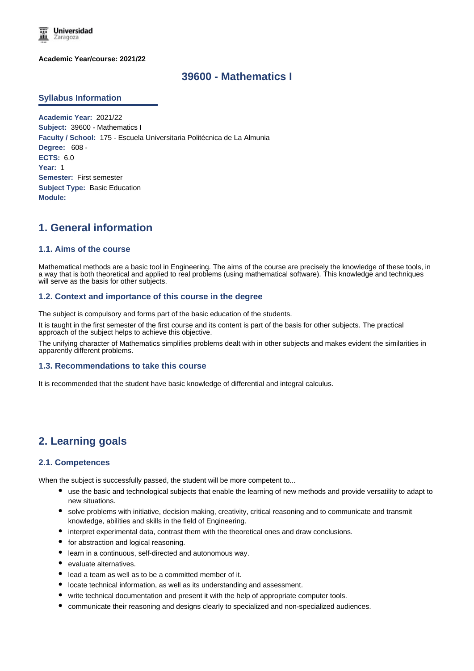

**Academic Year/course: 2021/22**

# **39600 - Mathematics I**

### **Syllabus Information**

**Academic Year:** 2021/22 **Subject:** 39600 - Mathematics I **Faculty / School:** 175 - Escuela Universitaria Politécnica de La Almunia **Degree:** 608 - **ECTS:** 6.0 **Year:** 1 **Semester:** First semester **Subject Type:** Basic Education **Module:**

# **1. General information**

### **1.1. Aims of the course**

Mathematical methods are a basic tool in Engineering. The aims of the course are precisely the knowledge of these tools, in a way that is both theoretical and applied to real problems (using mathematical software). This knowledge and techniques will serve as the basis for other subjects.

### **1.2. Context and importance of this course in the degree**

The subject is compulsory and forms part of the basic education of the students.

It is taught in the first semester of the first course and its content is part of the basis for other subjects. The practical approach of the subject helps to achieve this objective.

The unifying character of Mathematics simplifies problems dealt with in other subjects and makes evident the similarities in apparently different problems.

#### **1.3. Recommendations to take this course**

It is recommended that the student have basic knowledge of differential and integral calculus.

# **2. Learning goals**

#### **2.1. Competences**

When the subject is successfully passed, the student will be more competent to...

- use the basic and technological subjects that enable the learning of new methods and provide versatility to adapt to new situations.
- solve problems with initiative, decision making, creativity, critical reasoning and to communicate and transmit knowledge, abilities and skills in the field of Engineering.
- interpret experimental data, contrast them with the theoretical ones and draw conclusions.
- for abstraction and logical reasoning.
- learn in a continuous, self-directed and autonomous way.
- evaluate alternatives.
- lead a team as well as to be a committed member of it.
- locate technical information, as well as its understanding and assessment.
- write technical documentation and present it with the help of appropriate computer tools.
- communicate their reasoning and designs clearly to specialized and non-specialized audiences.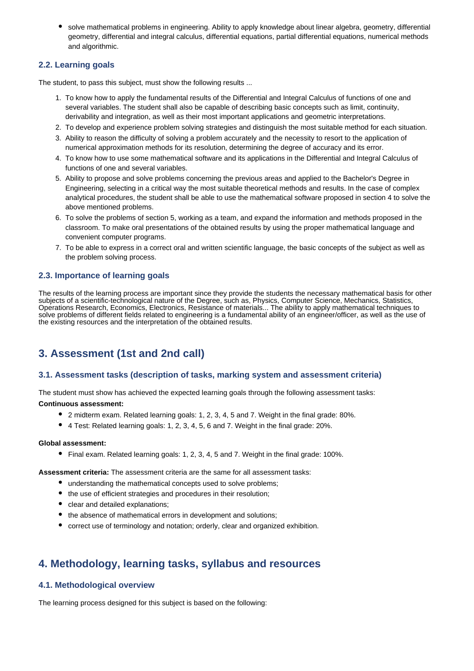solve mathematical problems in engineering. Ability to apply knowledge about linear algebra, geometry, differential geometry, differential and integral calculus, differential equations, partial differential equations, numerical methods and algorithmic.

## **2.2. Learning goals**

The student, to pass this subject, must show the following results ...

- 1. To know how to apply the fundamental results of the Differential and Integral Calculus of functions of one and several variables. The student shall also be capable of describing basic concepts such as limit, continuity, derivability and integration, as well as their most important applications and geometric interpretations.
- 2. To develop and experience problem solving strategies and distinguish the most suitable method for each situation.
- 3. Ability to reason the difficulty of solving a problem accurately and the necessity to resort to the application of numerical approximation methods for its resolution, determining the degree of accuracy and its error.
- 4. To know how to use some mathematical software and its applications in the Differential and Integral Calculus of functions of one and several variables.
- 5. Ability to propose and solve problems concerning the previous areas and applied to the Bachelor's Degree in Engineering, selecting in a critical way the most suitable theoretical methods and results. In the case of complex analytical procedures, the student shall be able to use the mathematical software proposed in section 4 to solve the above mentioned problems.
- 6. To solve the problems of section 5, working as a team, and expand the information and methods proposed in the classroom. To make oral presentations of the obtained results by using the proper mathematical language and convenient computer programs.
- 7. To be able to express in a correct oral and written scientific language, the basic concepts of the subject as well as the problem solving process.

## **2.3. Importance of learning goals**

The results of the learning process are important since they provide the students the necessary mathematical basis for other subjects of a scientific-technological nature of the Degree, such as, Physics, Computer Science, Mechanics, Statistics, Operations Research, Economics, Electronics, Resistance of materials... The ability to apply mathematical techniques to solve problems of different fields related to engineering is a fundamental ability of an engineer/officer, as well as the use of the existing resources and the interpretation of the obtained results.

# **3. Assessment (1st and 2nd call)**

## **3.1. Assessment tasks (description of tasks, marking system and assessment criteria)**

The student must show has achieved the expected learning goals through the following assessment tasks: **Continuous assessment:**

- 2 midterm exam. Related learning goals: 1, 2, 3, 4, 5 and 7. Weight in the final grade: 80%.
- 4 Test: Related learning goals: 1, 2, 3, 4, 5, 6 and 7. Weight in the final grade: 20%.

### **Global assessment:**

Final exam. Related learning goals: 1, 2, 3, 4, 5 and 7. Weight in the final grade: 100%.

**Assessment criteria:** The assessment criteria are the same for all assessment tasks:

- understanding the mathematical concepts used to solve problems;
- the use of efficient strategies and procedures in their resolution;
- clear and detailed explanations;
- the absence of mathematical errors in development and solutions;
- correct use of terminology and notation; orderly, clear and organized exhibition.

# **4. Methodology, learning tasks, syllabus and resources**

## **4.1. Methodological overview**

The learning process designed for this subject is based on the following: